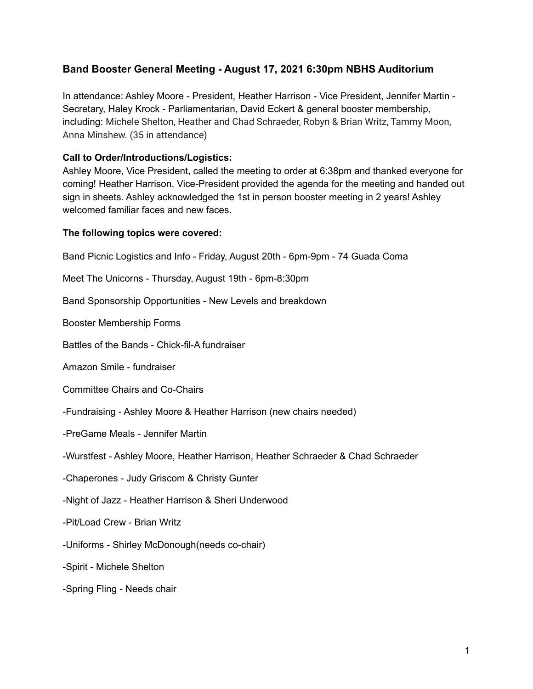## **Band Booster General Meeting - August 17, 2021 6:30pm NBHS Auditorium**

In attendance: Ashley Moore - President, Heather Harrison - Vice President, Jennifer Martin - Secretary, Haley Krock - Parliamentarian, David Eckert & general booster membership, including: Michele Shelton, Heather and Chad Schraeder, Robyn & Brian Writz, Tammy Moon, Anna Minshew. (35 in attendance)

## **Call to Order/Introductions/Logistics:**

Ashley Moore, Vice President, called the meeting to order at 6:38pm and thanked everyone for coming! Heather Harrison, Vice-President provided the agenda for the meeting and handed out sign in sheets. Ashley acknowledged the 1st in person booster meeting in 2 years! Ashley welcomed familiar faces and new faces.

## **The following topics were covered:**

Band Picnic Logistics and Info - Friday, August 20th - 6pm-9pm - 74 Guada Coma Meet The Unicorns - Thursday, August 19th - 6pm-8:30pm Band Sponsorship Opportunities - New Levels and breakdown Booster Membership Forms Battles of the Bands - Chick-fil-A fundraiser Amazon Smile - fundraiser Committee Chairs and Co-Chairs -Fundraising - Ashley Moore & Heather Harrison (new chairs needed) -PreGame Meals - Jennifer Martin -Wurstfest - Ashley Moore, Heather Harrison, Heather Schraeder & Chad Schraeder -Chaperones - Judy Griscom & Christy Gunter -Night of Jazz - Heather Harrison & Sheri Underwood -Pit/Load Crew - Brian Writz -Uniforms - Shirley McDonough(needs co-chair) -Spirit - Michele Shelton -Spring Fling - Needs chair